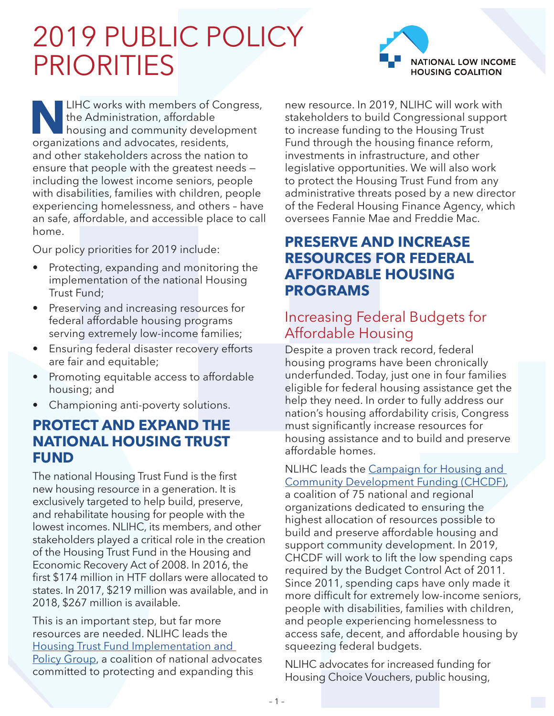# 2019 PUBLIC POLICY PRIORITIES



**NALIHC works with members of Congress,<br>the Administration, affordable<br>housing and community development<br>organizations and advocates, residents,** the Administration, affordable housing and community development organizations and advocates, residents, and other stakeholders across the nation to ensure that people with the greatest needs including the lowest income seniors, people with disabilities, families with children, people experiencing homelessness, and others – have an safe, affordable, and accessible place to call home.

Our policy priorities for 2019 include:

- Protecting, expanding and monitoring the implementation of the national Housing Trust Fund;
- Preserving and increasing resources for federal affordable housing programs serving extremely low-income families;
- Ensuring federal disaster recovery efforts are fair and equitable;
- Promoting equitable access to affordable housing; and
- Championing anti-poverty solutions.

#### **PROTECT AND EXPAND THE NATIONAL HOUSING TRUST FUND**

The national Housing Trust Fund is the first new housing resource in a generation. It is exclusively targeted to help build, preserve, and rehabilitate housing for people with the lowest incomes. NLIHC, its members, and other stakeholders played a critical role in the creation of the Housing Trust Fund in the Housing and Economic Recovery Act of 2008. In 2016, the first \$174 million in HTF dollars were allocated to states. In 2017, \$219 million was available, and in 2018, \$267 million is available.

This is an important step, but far more resources are needed. NLIHC leads the [Housing Trust Fund Implementation and](http://nlihc.org/issues/nhtf)  [Policy Group](http://nlihc.org/issues/nhtf), a coalition of national advocates committed to protecting and expanding this

new resource. In 2019, NLIHC will work with stakeholders to build Congressional support to increase funding to the Housing Trust Fund through the housing finance reform, investments in infrastructure, and other legislative opportunities. We will also work to protect the Housing Trust Fund from any administrative threats posed by a new director of the Federal Housing Finance Agency, which oversees Fannie Mae and Freddie Mac.

## **PRESERVE AND INCREASE RESOURCES FOR FEDERAL AFFORDABLE HOUSING PROGRAMS**

## Increasing Federal Budgets for Affordable Housing

Despite a proven track record, federal housing programs have been chronically underfunded. Today, just one in four families eligible for federal housing assistance get the help they need. In order to fully address our nation's housing affordability crisis, Congress must significantly increase resources for housing assistance and to build and preserve affordable homes.

NLIHC leads the [Campaign for Housing and](https://nlihc.org/partners/chcdf)  [Community Development Funding \(CHCDF\)](https://nlihc.org/partners/chcdf),

a coalition of 75 national and regional organizations dedicated to ensuring the highest allocation of resources possible to build and preserve affordable housing and support community development. In 2019, CHCDF will work to lift the low spending caps required by the Budget Control Act of 2011. Since 2011, spending caps have only made it more difficult for extremely low-income seniors, people with disabilities, families with children, and people experiencing homelessness to access safe, decent, and affordable housing by squeezing federal budgets.

NLIHC advocates for increased funding for Housing Choice Vouchers, public housing,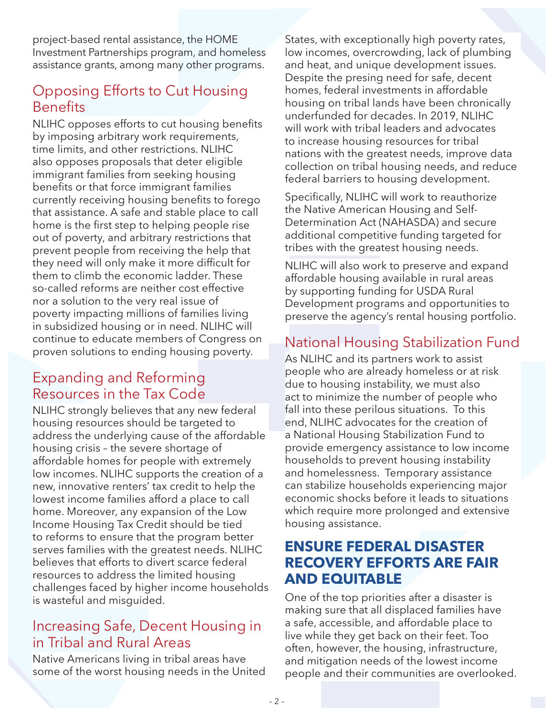project-based rental assistance, the HOME Investment Partnerships program, and homeless assistance grants, among many other programs.

## Opposing Efforts to Cut Housing **Benefits**

NLIHC opposes efforts to cut housing benefits by imposing arbitrary work requirements, time limits, and other restrictions. NLIHC also opposes proposals that deter eligible immigrant families from seeking housing benefits or that force immigrant families currently receiving housing benefits to forego that assistance. A safe and stable place to call home is the first step to helping people rise out of poverty, and arbitrary restrictions that prevent people from receiving the help that they need will only make it more difficult for them to climb the economic ladder. These so-called reforms are neither cost effective nor a solution to the very real issue of poverty impacting millions of families living in subsidized housing or in need. NLIHC will continue to educate members of Congress on proven solutions to ending housing poverty.

### Expanding and Reforming Resources in the Tax Code

NLIHC strongly believes that any new federal housing resources should be targeted to address the underlying cause of the affordable housing crisis – the severe shortage of affordable homes for people with extremely low incomes. NLIHC supports the creation of a new, innovative renters' tax credit to help the lowest income families afford a place to call home. Moreover, any expansion of the Low Income Housing Tax Credit should be tied to reforms to ensure that the program better serves families with the greatest needs. NLIHC believes that efforts to divert scarce federal resources to address the limited housing challenges faced by higher income households is wasteful and misguided.

### Increasing Safe, Decent Housing in in Tribal and Rural Areas

Native Americans living in tribal areas have some of the worst housing needs in the United

States, with exceptionally high poverty rates, low incomes, overcrowding, lack of plumbing and heat, and unique development issues. Despite the presing need for safe, decent homes, federal investments in affordable housing on tribal lands have been chronically underfunded for decades. In 2019, NLIHC will work with tribal leaders and advocates to increase housing resources for tribal nations with the greatest needs, improve data collection on tribal housing needs, and reduce federal barriers to housing development.

Specifically, NLIHC will work to reauthorize the Native American Housing and Self-Determination Act (NAHASDA) and secure additional competitive funding targeted for tribes with the greatest housing needs.

NLIHC will also work to preserve and expand affordable housing available in rural areas by supporting funding for USDA Rural Development programs and opportunities to preserve the agency's rental housing portfolio.

## National Housing Stabilization Fund

As NLIHC and its partners work to assist people who are already homeless or at risk due to housing instability, we must also act to minimize the number of people who fall into these perilous situations. To this end, NLIHC advocates for the creation of a National Housing Stabilization Fund to provide emergency assistance to low income households to prevent housing instability and homelessness. Temporary assistance can stabilize households experiencing major economic shocks before it leads to situations which require more prolonged and extensive housing assistance.

#### **ENSURE FEDERAL DISASTER RECOVERY EFFORTS ARE FAIR AND EQUITABLE**

One of the top priorities after a disaster is making sure that all displaced families have a safe, accessible, and affordable place to live while they get back on their feet. Too often, however, the housing, infrastructure, and mitigation needs of the lowest income people and their communities are overlooked.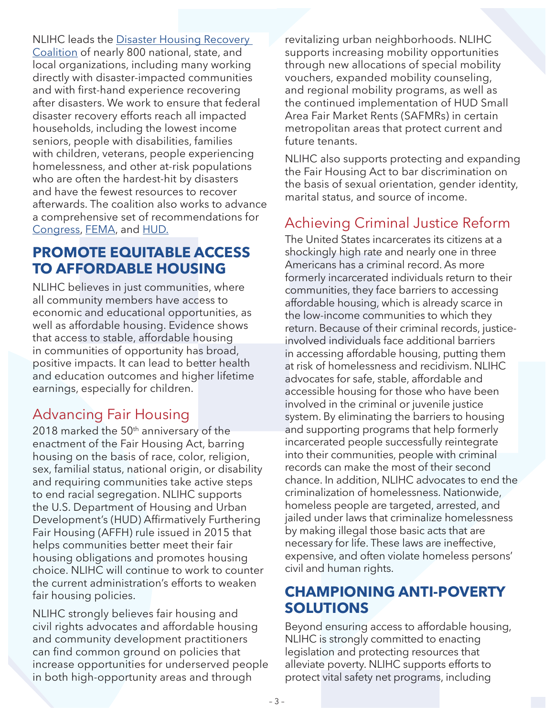NLIHC leads the [Disaster Housing Recovery](http://nlihc.org/issues/disaster)  [Coalition](http://nlihc.org/issues/disaster) of nearly 800 national, state, and local organizations, including many working directly with disaster-impacted communities and with first-hand experience recovering after disasters. We work to ensure that federal disaster recovery efforts reach all impacted households, including the lowest income seniors, people with disabilities, families with children, veterans, people experiencing homelessness, and other at-risk populations who are often the hardest-hit by disasters and have the fewest resources to recover afterwards. The coalition also works to advance a comprehensive set of recommendations for [Congress](http://nlihc.org/sites/default/files/Congressional-Disaster-Recommendations.pdf), [FEMA](http://nlihc.org/sites/default/files/FEMA-Disaster-Recovery-Recommendations.pdf), and [HUD](http://nlihc.org/sites/default/files/HUD-Disaster-Recovery-Recommendations.pdf).

## **PROMOTE EQUITABLE ACCESS TO AFFORDABLE HOUSING**

NLIHC believes in just communities, where all community members have access to economic and educational opportunities, as well as affordable housing. Evidence shows that access to stable, affordable housing in communities of opportunity has broad, positive impacts. It can lead to better health and education outcomes and higher lifetime earnings, especially for children.

## Advancing Fair Housing

2018 marked the  $50<sup>th</sup>$  anniversary of the enactment of the Fair Housing Act, barring housing on the basis of race, color, religion, sex, familial status, national origin, or disability and requiring communities take active steps to end racial segregation. NLIHC supports the U.S. Department of Housing and Urban Development's (HUD) Affirmatively Furthering Fair Housing (AFFH) rule issued in 2015 that helps communities better meet their fair housing obligations and promotes housing choice. NLIHC will continue to work to counter the current administration's efforts to weaken fair housing policies.

NLIHC strongly believes fair housing and civil rights advocates and affordable housing and community development practitioners can find common ground on policies that increase opportunities for underserved people in both high-opportunity areas and through

revitalizing urban neighborhoods. NLIHC supports increasing mobility opportunities through new allocations of special mobility vouchers, expanded mobility counseling, and regional mobility programs, as well as the continued implementation of HUD Small Area Fair Market Rents (SAFMRs) in certain metropolitan areas that protect current and future tenants.

NLIHC also supports protecting and expanding the Fair Housing Act to bar discrimination on the basis of sexual orientation, gender identity, marital status, and source of income.

## Achieving Criminal Justice Reform

The United States incarcerates its citizens at a shockingly high rate and nearly one in three Americans has a criminal record. As more formerly incarcerated individuals return to their communities, they face barriers to accessing affordable housing, which is already scarce in the low-income communities to which they return. Because of their criminal records, justiceinvolved individuals face additional barriers in accessing affordable housing, putting them at risk of homelessness and recidivism. NLIHC advocates for safe, stable, affordable and accessible housing for those who have been involved in the criminal or juvenile justice system. By eliminating the barriers to housing and supporting programs that help formerly incarcerated people successfully reintegrate into their communities, people with criminal records can make the most of their second chance. In addition, NLIHC advocates to end the criminalization of homelessness. Nationwide, homeless people are targeted, arrested, and jailed under laws that criminalize homelessness by making illegal those basic acts that are necessary for life. These laws are ineffective, expensive, and often violate homeless persons' civil and human rights.

## **CHAMPIONING ANTI-POVERTY SOLUTIONS**

Beyond ensuring access to affordable housing, NLIHC is strongly committed to enacting legislation and protecting resources that alleviate poverty. NLIHC supports efforts to protect vital safety net programs, including